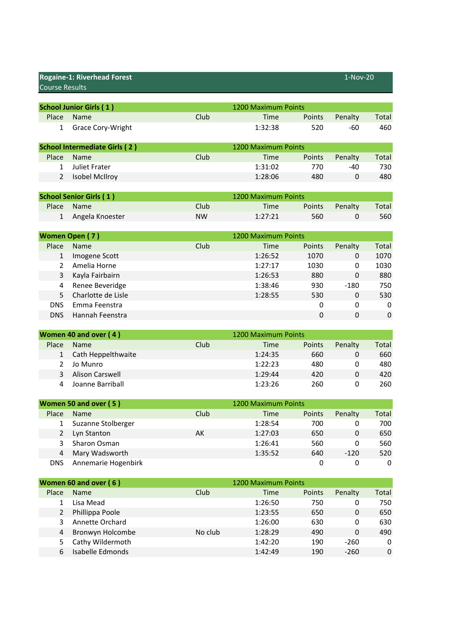| <b>Rogaine-1: Riverhead Forest</b><br><b>Course Results</b> |                                      |           |                     | 1-Nov-20         |             |              |
|-------------------------------------------------------------|--------------------------------------|-----------|---------------------|------------------|-------------|--------------|
|                                                             | <b>School Junior Girls (1)</b>       |           | 1200 Maximum Points |                  |             |              |
| Place                                                       | Name                                 | Club      | Time                | Points           | Penalty     | Total        |
| $\mathbf{1}$                                                | Grace Cory-Wright                    |           | 1:32:38             | 520              | -60         | 460          |
|                                                             |                                      |           |                     |                  |             |              |
|                                                             | <b>School Intermediate Girls (2)</b> |           | 1200 Maximum Points |                  |             |              |
| Place                                                       | Name                                 | Club      | <b>Time</b>         | Points           | Penalty     | Total        |
| 1                                                           | <b>Juliet Frater</b>                 |           | 1:31:02             | 770              | $-40$       | 730          |
| $\overline{2}$                                              | <b>Isobel McIlroy</b>                |           | 1:28:06             | 480              | 0           | 480          |
|                                                             |                                      |           |                     |                  |             |              |
|                                                             | <b>School Senior Girls (1)</b>       |           | 1200 Maximum Points |                  |             |              |
| Place                                                       | Name                                 | Club      | Time                | Points           | Penalty     | Total        |
| $\mathbf{1}$                                                | Angela Knoester                      | <b>NW</b> | 1:27:21             | 560              | 0           | 560          |
|                                                             | Women Open (7)                       |           | 1200 Maximum Points |                  |             |              |
| Place                                                       | Name                                 | Club      | Time                | Points           | Penalty     | <b>Total</b> |
| $\mathbf{1}$                                                | Imogene Scott                        |           | 1:26:52             | 1070             | 0           | 1070         |
| $\overline{2}$                                              | Amelia Horne                         |           | 1:27:17             | 1030             | 0           | 1030         |
| 3                                                           | Kayla Fairbairn                      |           | 1:26:53             | 880              | 0           | 880          |
| 4                                                           | Renee Beveridge                      |           | 1:38:46             | 930              | $-180$      | 750          |
| 5                                                           | Charlotte de Lisle                   |           | 1:28:55             | 530              | $\mathbf 0$ | 530          |
| <b>DNS</b>                                                  | Emma Feenstra                        |           |                     | 0                | 0           | 0            |
| <b>DNS</b>                                                  | Hannah Feenstra                      |           |                     | $\Omega$         | $\Omega$    | $\Omega$     |
|                                                             |                                      |           |                     |                  |             |              |
|                                                             | Women 40 and over (4)                |           | 1200 Maximum Points |                  |             |              |
| Place                                                       | Name                                 | Club      | Time                | Points           | Penalty     | Total        |
| $\mathbf{1}$                                                | Cath Heppelthwaite                   |           | 1:24:35             | 660              | $\mathbf 0$ | 660          |
| $\overline{2}$                                              | Jo Munro                             |           | 1:22:23             | 480              | 0           | 480          |
| 3                                                           | <b>Alison Carswell</b>               |           | 1:29:44             | 420              | $\mathbf 0$ | 420          |
| 4                                                           | Joanne Barriball                     |           | 1:23:26             | 260              | 0           | 260          |
|                                                             | Women 50 and over (5)                |           | 1200 Maximum Points |                  |             |              |
| Place                                                       | Name                                 | Club      | Time                | Points           | Penalty     | Total        |
| 1                                                           | Suzanne Stolberger                   |           | 1:28:54             | 700              | 0           | 700          |
| $\overline{2}$                                              | Lyn Stanton                          | AK        | 1:27:03             | 650              | $\pmb{0}$   | 650          |
| 3                                                           | Sharon Osman                         |           | 1:26:41             | 560              | 0           | 560          |
| $\overline{\mathbf{r}}$                                     | Mary Wadsworth                       |           | 1:35:52             | 640              | $-120$      | 520          |
| <b>DNS</b>                                                  | Annemarie Hogenbirk                  |           |                     | $\boldsymbol{0}$ | 0           | 0            |
|                                                             |                                      |           |                     |                  |             |              |
|                                                             | Women 60 and over (6)                |           | 1200 Maximum Points |                  |             |              |
| Place                                                       | Name                                 | Club      | Time                | Points           | Penalty     | Total        |
| $\mathbf{1}$                                                | Lisa Mead                            |           | 1:26:50             | 750              | 0           | 750          |
| $\overline{2}$                                              | Phillippa Poole                      |           | 1:23:55             | 650              | 0           | 650          |
| 3                                                           | Annette Orchard                      |           | 1:26:00             | 630              | 0           | 630          |
| 4                                                           | Bronwyn Holcombe                     | No club   | 1:28:29             | 490              | 0           | 490          |
| 5                                                           | Cathy Wildermoth                     |           | 1:42:20             | 190              | $-260$      | 0            |

6 Isabelle Edmonds 1:42:49 190 -260 0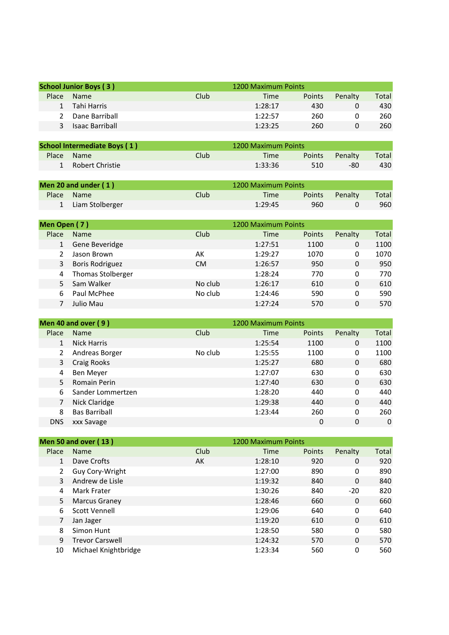|               | <b>School Junior Boys (3)</b> |      | 1200 Maximum Points |        |         |       |
|---------------|-------------------------------|------|---------------------|--------|---------|-------|
| <b>Place</b>  | <b>Name</b>                   | Club | Time                | Points | Penalty | Total |
|               | Tahi Harris                   |      | 1:28:17             | 430    |         | 430   |
| $\mathcal{L}$ | Dane Barriball                |      | 1:22:57             | 260    |         | 260   |
|               | <b>Isaac Barriball</b>        |      | 1:23:25             | 260    |         | 260   |

| <b>School Intermediate Boys (1)</b> |                 |      | 1200 Maximum Points |               |         |       |
|-------------------------------------|-----------------|------|---------------------|---------------|---------|-------|
|                                     | Place Name      | Club | Time                | <b>Points</b> | Penalty | Total |
|                                     | Robert Christie |      | 1:33:36             | 510           | -80     | 430   |

| Men 20 and under $(1)$ |                   |       | 1200 Maximum Points |        |         |       |
|------------------------|-------------------|-------|---------------------|--------|---------|-------|
|                        | Place Name        | Club. | Time                | Points | Penalty | Total |
|                        | 1 Liam Stolberger |       | 1:29:45             | 960    |         | 960   |

| Men Open (7) |                          |           | 1200 Maximum Points |               |         |       |
|--------------|--------------------------|-----------|---------------------|---------------|---------|-------|
| Place        | <b>Name</b>              | Club      | Time                | <b>Points</b> | Penalty | Total |
|              | Gene Beveridge           |           | 1:27:51             | 1100          | 0       | 1100  |
|              | Jason Brown              | AK        | 1:29:27             | 1070          | 0       | 1070  |
| 3            | <b>Boris Rodriguez</b>   | <b>CM</b> | 1:26:57             | 950           | 0       | 950   |
| 4            | <b>Thomas Stolberger</b> |           | 1:28:24             | 770           | 0       | 770   |
|              | Sam Walker               | No club   | 1:26:17             | 610           | 0       | 610   |
| 6            | Paul McPhee              | No club   | 1:24:46             | 590           | 0       | 590   |
|              | Julio Mau                |           | 1:27:24             | 570           | 0       | 570   |

|            | Men 40 and over (9)  |         | 1200 Maximum Points |        |         |          |
|------------|----------------------|---------|---------------------|--------|---------|----------|
| Place      | Name                 | Club    | Time                | Points | Penalty | Total    |
|            | <b>Nick Harris</b>   |         | 1:25:54             | 1100   | 0       | 1100     |
|            | Andreas Borger       | No club | 1:25:55             | 1100   | 0       | 1100     |
| 3          | Craig Rooks          |         | 1:25:27             | 680    | 0       | 680      |
| 4          | Ben Meyer            |         | 1:27:07             | 630    | 0       | 630      |
| 5.         | Romain Perin         |         | 1:27:40             | 630    | 0       | 630      |
| 6          | Sander Lommertzen    |         | 1:28:20             | 440    | 0       | 440      |
|            | Nick Claridge        |         | 1:29:38             | 440    | 0       | 440      |
| 8          | <b>Bas Barriball</b> |         | 1:23:44             | 260    | 0       | 260      |
| <b>DNS</b> | xxx Savage           |         |                     | 0      | 0       | $\Omega$ |

|              | Men 50 and over (13)   |      | 1200 Maximum Points |               |         |       |
|--------------|------------------------|------|---------------------|---------------|---------|-------|
| Place        | <b>Name</b>            | Club | Time                | <b>Points</b> | Penalty | Total |
| $\mathbf{1}$ | Dave Crofts            | AK   | 1:28:10             | 920           | 0       | 920   |
|              | Guy Cory-Wright        |      | 1:27:00             | 890           | 0       | 890   |
| 3            | Andrew de Lisle        |      | 1:19:32             | 840           | 0       | 840   |
| 4            | Mark Frater            |      | 1:30:26             | 840           | $-20$   | 820   |
| 5            | <b>Marcus Graney</b>   |      | 1:28:46             | 660           | 0       | 660   |
| 6            | Scott Vennell          |      | 1:29:06             | 640           | 0       | 640   |
|              | Jan Jager              |      | 1:19:20             | 610           | 0       | 610   |
| 8            | Simon Hunt             |      | 1:28:50             | 580           | 0       | 580   |
| 9            | <b>Trevor Carswell</b> |      | 1:24:32             | 570           | 0       | 570   |
| 10           | Michael Knightbridge   |      | 1:23:34             | 560           | 0       | 560   |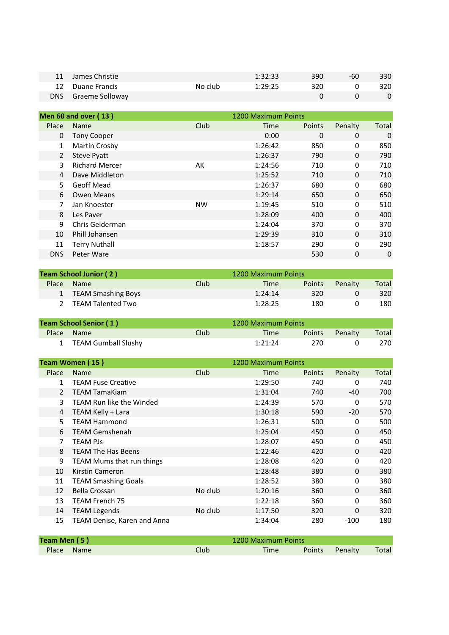| <b>James Christie</b> |         | 1:32:33 | 390 | -60 | 330 |
|-----------------------|---------|---------|-----|-----|-----|
| 12 Duane Francis      | No club | 1:29:25 | 320 |     | 320 |
| DNS Graeme Solloway   |         |         |     |     |     |

|                | <b>Men 60 and over (13)</b> |           | 1200 Maximum Points |               |          |       |
|----------------|-----------------------------|-----------|---------------------|---------------|----------|-------|
| Place          | <b>Name</b>                 | Club      | Time                | <b>Points</b> | Penalty  | Total |
| $\Omega$       | <b>Tony Cooper</b>          |           | 0:00                | 0             | 0        | 0     |
| $\mathbf{1}$   | Martin Crosby               |           | 1:26:42             | 850           | 0        | 850   |
| $\overline{2}$ | <b>Steve Pyatt</b>          |           | 1:26:37             | 790           | 0        | 790   |
| 3              | <b>Richard Mercer</b>       | AK        | 1:24:56             | 710           | 0        | 710   |
| 4              | Dave Middleton              |           | 1:25:52             | 710           | 0        | 710   |
| 5.             | Geoff Mead                  |           | 1:26:37             | 680           | 0        | 680   |
| 6              | Owen Means                  |           | 1:29:14             | 650           | 0        | 650   |
|                | Jan Knoester                | <b>NW</b> | 1:19:45             | 510           | 0        | 510   |
| 8              | Les Paver                   |           | 1:28:09             | 400           | $\Omega$ | 400   |
| 9              | Chris Gelderman             |           | 1:24:04             | 370           | 0        | 370   |
| 10             | Phill Johansen              |           | 1:29:39             | 310           | 0        | 310   |
| 11             | <b>Terry Nuthall</b>        |           | 1:18:57             | 290           | 0        | 290   |
| <b>DNS</b>     | Peter Ware                  |           |                     | 530           | 0        | 0     |

| <b>Team School Junior (2)</b> |                      |      | 1200 Maximum Points |               |         |       |
|-------------------------------|----------------------|------|---------------------|---------------|---------|-------|
| Place                         | <b>Name</b>          | Club | Time                | <b>Points</b> | Penalty | Total |
|                               | 1 TEAM Smashing Boys |      | 1:24:14             | 320.          |         | 320   |
|                               | TEAM Talented Two    |      | 1:28:25             | 180           |         | 180   |

| <b>Team School Senior (1)</b> |                       |                   | 1200 Maximum Points |               |         |       |
|-------------------------------|-----------------------|-------------------|---------------------|---------------|---------|-------|
|                               | Place Name            | Club <sup>1</sup> | Time                | <b>Points</b> | Penalty | Total |
|                               | 1 TEAM Gumball Slushy |                   | 1:21:24             | 270.          |         | 270   |

|                                 | Team Women (15)                  |         | 1200 Maximum Points   |               |         |       |
|---------------------------------|----------------------------------|---------|-----------------------|---------------|---------|-------|
| Place                           | Name                             | Club    | Time                  | <b>Points</b> | Penalty | Total |
| $\mathbf{1}$                    | <b>TEAM Fuse Creative</b>        |         | 1:29:50               | 740           | 0       | 740   |
| $\overline{2}$                  | <b>TEAM TamaKiam</b>             |         | 1:31:04               | 740           | $-40$   | 700   |
| 3                               | TEAM Run like the Winded         |         | 1:24:39               | 570           | 0       | 570   |
| 4                               | TEAM Kelly + Lara                |         | 1:30:18               | 590           | $-20$   | 570   |
| 5                               | <b>TEAM Hammond</b>              |         | 1:26:31               | 500           | 0       | 500   |
| 6                               | <b>TEAM Gemshenah</b>            |         | 1:25:04               | 450           | 0       | 450   |
| 7                               | TEAM PJs                         |         | 1:28:07               | 450           | 0       | 450   |
| 8                               | <b>TEAM The Has Beens</b>        |         | 1:22:46               | 420           | 0       | 420   |
| 9                               | <b>TEAM Mums that run things</b> |         | 1:28:08               | 420           | 0       | 420   |
| 10                              | Kirstin Cameron                  |         | 1:28:48               | 380           | 0       | 380   |
| 11                              | <b>TEAM Smashing Goals</b>       |         | 1:28:52               | 380           | 0       | 380   |
| 12                              | Bella Crossan                    | No club | 1:20:16               | 360           | 0       | 360   |
| 13                              | TEAM French 75                   |         | 1:22:18               | 360           | 0       | 360   |
| 14                              | <b>TEAM Legends</b>              | No club | 1:17:50               | 320           | 0       | 320   |
| 15                              | TEAM Denise, Karen and Anna      |         | 1:34:04               | 280           | $-100$  | 180   |
| $T_{\text{Gauss}}$ Man $\Gamma$ |                                  |         | $1200$ Marimum Doints |               |         |       |

| Team Men (5) |            | 1200 Maximum Points |      |        |         |       |
|--------------|------------|---------------------|------|--------|---------|-------|
|              | Place Name | Club                | Time | Points | Penalty | Total |